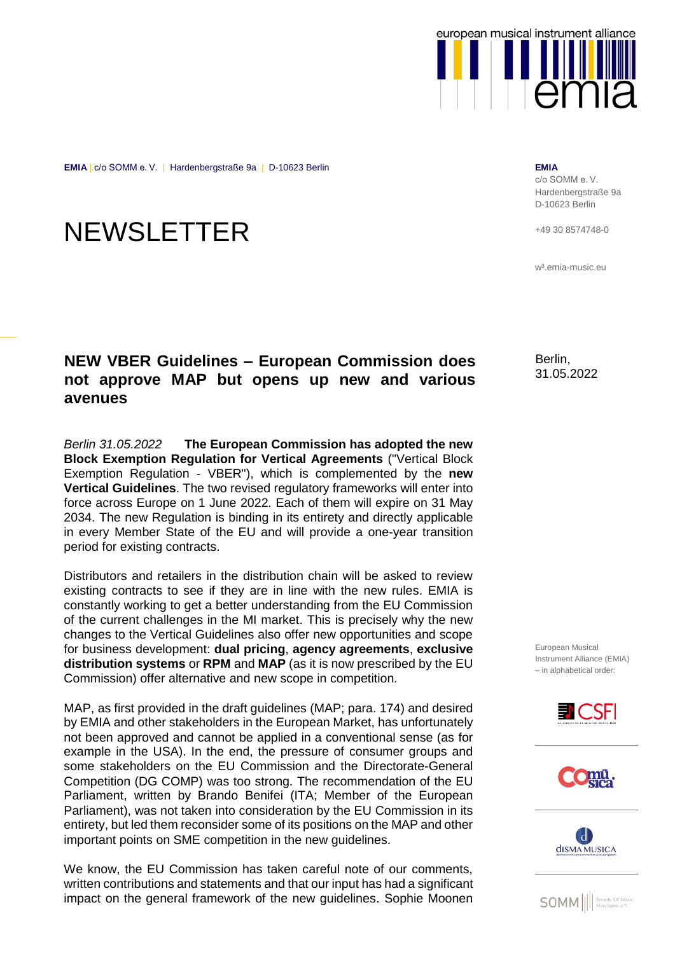

**EMIA** | c/o SOMM e. V. | Hardenbergstraße 9a | D-10623 Berlin **EMIA**

## **NEWSLETTER**

## **NEW VBER Guidelines – European Commission does not approve MAP but opens up new and various avenues**

*Berlin 31.05.2022* **The European Commission has adopted the new Block Exemption Regulation for Vertical Agreements** ("Vertical Block Exemption Regulation - VBER"), which is complemented by the **new Vertical Guidelines**. The two revised regulatory frameworks will enter into force across Europe on 1 June 2022. Each of them will expire on 31 May 2034. The new Regulation is binding in its entirety and directly applicable in every Member State of the EU and will provide a one-year transition period for existing contracts.

Distributors and retailers in the distribution chain will be asked to review existing contracts to see if they are in line with the new rules. EMIA is constantly working to get a better understanding from the EU Commission of the current challenges in the MI market. This is precisely why the new changes to the Vertical Guidelines also offer new opportunities and scope for business development: **dual pricing**, **agency agreements**, **exclusive distribution systems** or **RPM** and **MAP** (as it is now prescribed by the EU Commission) offer alternative and new scope in competition.

MAP, as first provided in the draft guidelines (MAP; para. 174) and desired by EMIA and other stakeholders in the European Market, has unfortunately not been approved and cannot be applied in a conventional sense (as for example in the USA). In the end, the pressure of consumer groups and some stakeholders on the EU Commission and the Directorate-General Competition (DG COMP) was too strong. The recommendation of the EU Parliament, written by Brando Benifei (ITA; Member of the European Parliament), was not taken into consideration by the EU Commission in its entirety, but led them reconsider some of its positions on the MAP and other important points on SME competition in the new guidelines.

We know, the EU Commission has taken careful note of our comments, written contributions and statements and that our input has had a significant impact on the general framework of the new guidelines. Sophie Moonen

c/o SOMM e. V. Hardenbergstraße 9a D-10623 Berlin

+49 30 8574748-0

w<sup>3</sup>.emia-music.eu

Berlin, 31.05.2022

European Musical Instrument Alliance (EMIA) – in alphabetical order:







**SOMM** || society Of Musi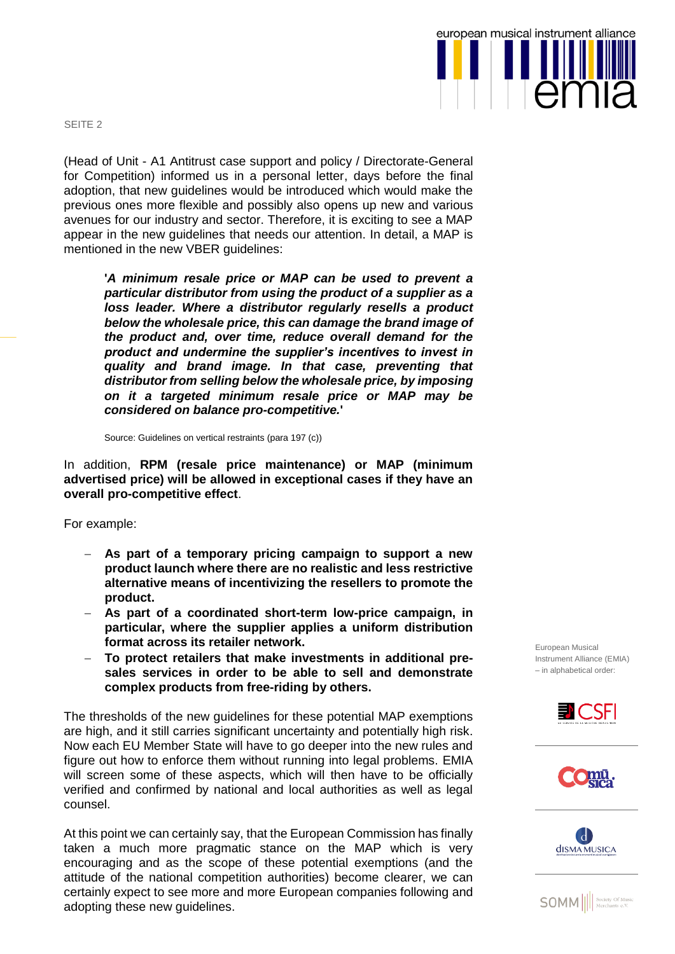SEITE 2

(Head of Unit - A1 Antitrust case support and policy / Directorate-General for Competition) informed us in a personal letter, days before the final adoption, that new guidelines would be introduced which would make the previous ones more flexible and possibly also opens up new and various avenues for our industry and sector. Therefore, it is exciting to see a MAP appear in the new guidelines that needs our attention. In detail, a MAP is mentioned in the new VBER guidelines:

**'***A minimum resale price or MAP can be used to prevent a particular distributor from using the product of a supplier as a loss leader. Where a distributor regularly resells a product below the wholesale price, this can damage the brand image of the product and, over time, reduce overall demand for the product and undermine the supplier's incentives to invest in quality and brand image. In that case, preventing that distributor from selling below the wholesale price, by imposing on it a targeted minimum resale price or MAP may be considered on balance pro-competitive.***'**

Source: Guidelines on vertical restraints (para 197 (c))

In addition, **RPM (resale price maintenance) or MAP (minimum advertised price) will be allowed in exceptional cases if they have an overall pro-competitive effect**.

For example:

- **As part of a temporary pricing campaign to support a new product launch where there are no realistic and less restrictive alternative means of incentivizing the resellers to promote the product.**
- **As part of a coordinated short-term low-price campaign, in particular, where the supplier applies a uniform distribution format across its retailer network.**
- **To protect retailers that make investments in additional presales services in order to be able to sell and demonstrate complex products from free-riding by others.**

The thresholds of the new guidelines for these potential MAP exemptions are high, and it still carries significant uncertainty and potentially high risk. Now each EU Member State will have to go deeper into the new rules and figure out how to enforce them without running into legal problems. EMIA will screen some of these aspects, which will then have to be officially verified and confirmed by national and local authorities as well as legal counsel.

At this point we can certainly say, that the European Commission has finally taken a much more pragmatic stance on the MAP which is very encouraging and as the scope of these potential exemptions (and the attitude of the national competition authorities) become clearer, we can certainly expect to see more and more European companies following and adopting these new guidelines.

European Musical Instrument Alliance (EMIA) – in alphabetical order:









**SOMM** <u>*Merchants e.V.*</u>